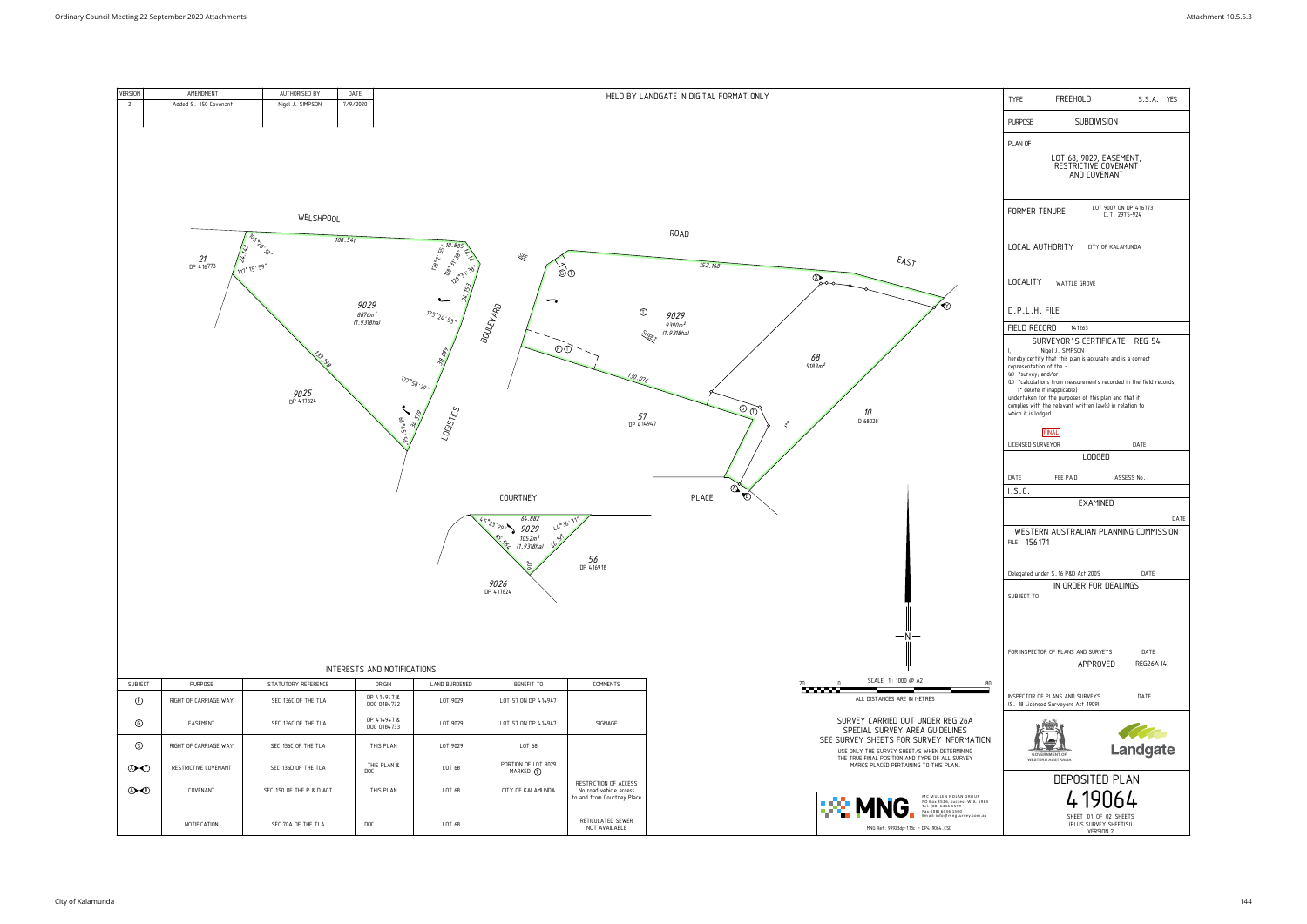| VERSION      | AMENDMENT                                    | AUTHORISED BY       | DATE                                     |                                                    | HELD BY LANDGATE IN DIGITAL              |
|--------------|----------------------------------------------|---------------------|------------------------------------------|----------------------------------------------------|------------------------------------------|
| $\mathbf{2}$ | Added S. 150 Covenant                        | Nigel J. SIMPSON    | 7/9/2020                                 |                                                    |                                          |
|              |                                              |                     |                                          |                                                    |                                          |
|              |                                              |                     |                                          |                                                    |                                          |
|              |                                              |                     |                                          |                                                    |                                          |
|              |                                              |                     |                                          |                                                    |                                          |
|              |                                              |                     |                                          |                                                    |                                          |
|              |                                              |                     |                                          |                                                    |                                          |
|              |                                              | <b>WELSHPOOL</b>    |                                          |                                                    |                                          |
|              |                                              |                     |                                          |                                                    | ROAD                                     |
|              | <b>IDS SPIRE</b><br>24.143                   |                     | 106.541                                  | 178° 55" 10.885                                    |                                          |
|              | $\frac{21}{\text{DP }416773}$<br>(117°15'59" |                     |                                          | LEF                                                | 152.14                                   |
|              |                                              |                     |                                          | 128°31'38' /<br>$\widehat{\circ}$                  |                                          |
|              |                                              |                     |                                          | $\mathcal{R}^{\prime}$<br>$\overline{\phantom{a}}$ |                                          |
|              |                                              |                     | 9029<br><sub>8876m</sub> 2<br>(1.9318ha) | ⇁<br><b>BOULEVARD</b>                              | $\circled{1}$                            |
|              |                                              |                     |                                          | 175°24.53"                                         | 9029<br><sub>9390m</sub> 2<br>(1.9318ha) |
|              |                                              |                     |                                          |                                                    | <b>SHEET</b>                             |
|              |                                              | Lui 13g             |                                          | $\odot$<br>38.999                                  |                                          |
|              |                                              |                     |                                          |                                                    | 130.076                                  |
|              |                                              |                     |                                          | 177°58'29"                                         | $\cancel{\sim}$                          |
|              |                                              | $9025$<br>DP 417824 |                                          |                                                    |                                          |
|              |                                              |                     |                                          | 34.578                                             | $57$<br>DP 414947                        |
|              |                                              |                     |                                          | 195.57.20<br>LOGISTICS                             |                                          |
|              |                                              |                     |                                          |                                                    |                                          |
|              |                                              |                     |                                          |                                                    |                                          |
|              |                                              |                     |                                          |                                                    |                                          |
|              |                                              |                     |                                          | COURTNEY                                           | PLACE                                    |
|              |                                              |                     |                                          |                                                    |                                          |
|              |                                              |                     |                                          | 64.882<br>44°36'31"<br>45°23'29''<br>9029          |                                          |
|              |                                              |                     |                                          | 1052m²<br>(1.9318ha)<br>46.97<br>isch              |                                          |
|              |                                              |                     |                                          | $56$<br>DP 416918<br>G                             |                                          |
|              |                                              |                     |                                          |                                                    |                                          |
|              |                                              |                     |                                          | $9026$<br>DP 417824                                |                                          |
|              |                                              |                     |                                          |                                                    |                                          |
|              |                                              |                     |                                          |                                                    |                                          |
|              |                                              |                     |                                          |                                                    |                                          |



|  | INTERESTS AND NOTIFICATIONS |
|--|-----------------------------|
|  |                             |

| <b>SUBJECT</b>                  | <b>PURPOSE</b><br>STATUTORY REFERENCE        |                          | ORIGIN                    | LAND BURDENED | BENEFIT TO                        | <b>COMMENTS</b>                                                               |
|---------------------------------|----------------------------------------------|--------------------------|---------------------------|---------------|-----------------------------------|-------------------------------------------------------------------------------|
| $\odot$                         | SEC 136C OF THE TLA<br>RIGHT OF CARRIAGE WAY |                          | DP 414947&<br>DOC 0184732 | LOT 9029      | LOT 57 ON DP 414947               |                                                                               |
| $^{\circ}$<br>EASEMENT          |                                              | SEC 136C OF THE TLA      | DP 414947&<br>DOC 0184733 | LOT 9029      | LOT 57 ON DP 414947               | SIGNAGE                                                                       |
| $\circledS$                     | RIGHT OF CARRIAGE WAY                        | SEC 136C OF THE TLA      | THIS PLAN                 | LOT 9029      | LOT 68                            |                                                                               |
| $\circledcirc$                  | RESTRICTIVE COVENANT<br>SEC 136D OF THE TLA  |                          | THIS PLAN &<br><b>DOC</b> | LOT 68        | PORTION OF LOT 9029<br>MARKED (T) |                                                                               |
| $\bigcircled{A} \bigcircled{B}$ | COVENANT                                     | SEC 150 OF THE P & D ACT | THIS PLAN                 | LOT 68        | CITY OF KALAMUNDA                 | RESTRICTION OF ACCESS<br>No road vehicle access<br>to and from Courtney Place |
|                                 | NOTIFICATION                                 | SEC 70A OF THE TLA       | <b>DOC</b>                | LOT 68        |                                   | RETICULATED SEWER<br>NOT AVAILABLE                                            |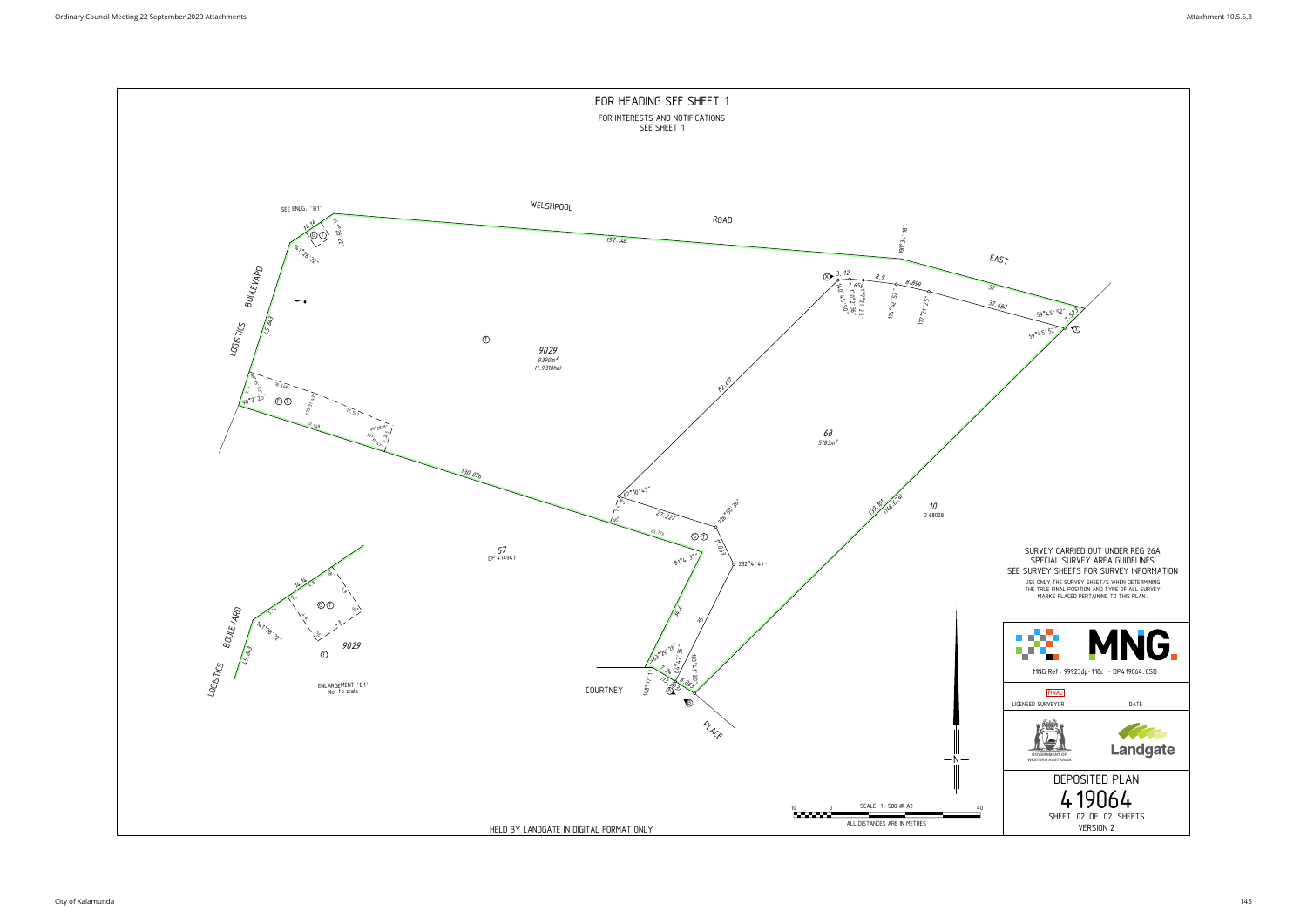